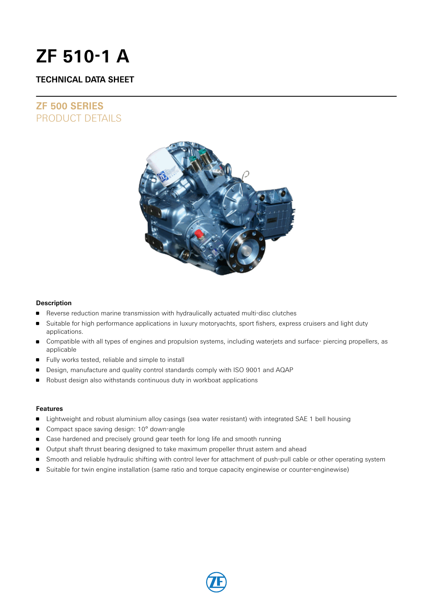# **ZF 510-1 A**

### **TECHNICAL DATA SHEET**

## **ZF 500 SERIES** PRODUCT DETAILS



### **Description**

- Reverse reduction marine transmission with hydraulically actuated multi-disc clutches
- Suitable for high performance applications in luxury motoryachts, sport fishers, express cruisers and light duty applications.
- Compatible with all types of engines and propulsion systems, including waterjets and surface- piercing propellers, as applicable
- Fully works tested, reliable and simple to install
- Design, manufacture and quality control standards comply with ISO 9001 and AQAP
- Robust design also withstands continuous duty in workboat applications

### **Features**

- **Example 1** Lightweight and robust aluminium alloy casings (sea water resistant) with integrated SAE 1 bell housing
- Compact space saving design: 10° down-angle
- **Case hardened and precisely ground gear teeth for long life and smooth running**
- **Output shaft thrust bearing designed to take maximum propeller thrust astern and ahead**
- Smooth and reliable hydraulic shifting with control lever for attachment of push-pull cable or other operating system
- **Suitable for twin engine installation (same ratio and torque capacity enginewise or counter-enginewise)**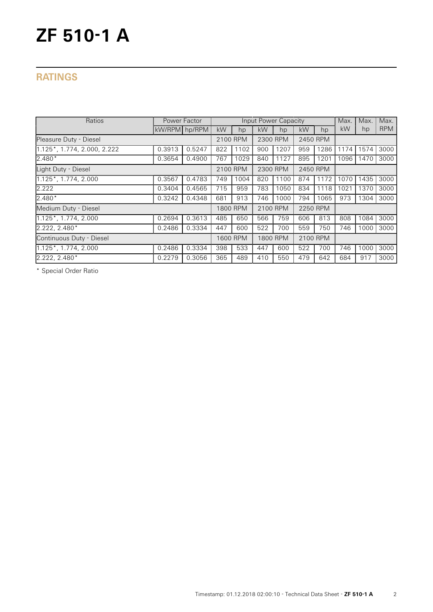# **ZF 510-1 A**

## **RATINGS**

| Ratios<br>Power Factor      |               |        |                      | Input Power Capacity |          |                      |          |      | Max. | Max. | Max.       |
|-----------------------------|---------------|--------|----------------------|----------------------|----------|----------------------|----------|------|------|------|------------|
|                             | kW/RPM hp/RPM |        | kW                   | hp                   | kW       | hp                   | kW       | hp   | kW   | hp   | <b>RPM</b> |
| Pleasure Duty - Diesel      |               |        | 2100 RPM             |                      | 2300 RPM |                      | 2450 RPM |      |      |      |            |
| 1.125*, 1.774, 2.000, 2.222 | 0.3913        | 0.5247 | 822                  | 1102                 | 900      | 1207                 | 959      | 1286 | 1174 | 1574 | 3000       |
| 2.480*                      | 0.3654        | 0.4900 | 767                  | 1029                 | 840      | 1127                 | 895      | 1201 | 1096 | 1470 | 3000       |
| Light Duty - Diesel         |               |        | 2100 RPM             |                      |          | 2300 RPM<br>2450 RPM |          |      |      |      |            |
| 1.125*, 1.774, 2.000        | 0.3567        | 0.4783 | 749                  | 1004                 | 820      | 1100                 | 874      | 1172 | 1070 | 1435 | 3000       |
| 2.222                       | 0.3404        | 0.4565 | 715                  | 959                  | 783      | 1050                 | 834      | 1118 | 1021 | 1370 | 3000       |
| $2.480*$                    | 0.3242        | 0.4348 | 681                  | 913                  | 746      | 1000                 | 794      | 1065 | 973  | 1304 | 3000       |
| Medium Duty - Diesel        |               |        | 2100 RPM<br>1800 RPM |                      | 2250 RPM |                      |          |      |      |      |            |
| 1.125*, 1.774, 2.000        | 0.2694        | 0.3613 | 485                  | 650                  | 566      | 759                  | 606      | 813  | 808  | 1084 | 3000       |
| 2.222, 2.480*               | 0.2486        | 0.3334 | 447                  | 600                  | 522      | 700                  | 559      | 750  | 746  | 1000 | 3000       |
| Continuous Duty - Diesel    |               |        |                      | 1600 RPM<br>1800 RPM |          | 2100 RPM             |          |      |      |      |            |
| 1.125*, 1.774, 2.000        | 0.2486        | 0.3334 | 398                  | 533                  | 447      | 600                  | 522      | 700  | 746  | 1000 | 3000       |
| $2.222, 2.480*$             | 0.2279        | 0.3056 | 365                  | 489                  | 410      | 550                  | 479      | 642  | 684  | 917  | 3000       |

\* Special Order Ratio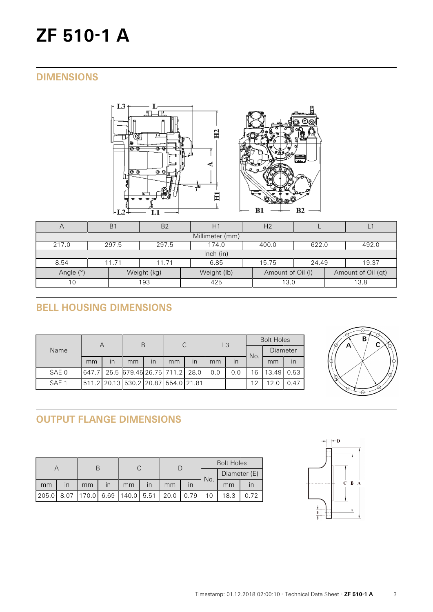# **ZF 510-1 A**

## **DIMENSIONS**





| $\forall$                | B <sub>1</sub>                                    | B <sub>2</sub>                            | H1          | H <sub>2</sub>    |      |                    |  |  |  |  |  |
|--------------------------|---------------------------------------------------|-------------------------------------------|-------------|-------------------|------|--------------------|--|--|--|--|--|
| Millimeter (mm)          |                                                   |                                           |             |                   |      |                    |  |  |  |  |  |
| 217.0                    | 297.5                                             | 297.5<br>174.0<br>622.0<br>492.0<br>400.0 |             |                   |      |                    |  |  |  |  |  |
| lnch (in)                |                                                   |                                           |             |                   |      |                    |  |  |  |  |  |
| 8.54                     | 15.75<br>11.71<br>6.85<br>19.37<br>11.71<br>24.49 |                                           |             |                   |      |                    |  |  |  |  |  |
| Angle (°)<br>Weight (kg) |                                                   |                                           | Weight (lb) | Amount of Oil (I) |      | Amount of Oil (qt) |  |  |  |  |  |
| 193<br>10                |                                                   | 425                                       | 13.0        |                   | 13.8 |                    |  |  |  |  |  |

# **BELL HOUSING DIMENSIONS**

| Name  | Α  |                         | Β                                   |                         | C  |      | L <sub>3</sub> |     | <b>Bolt Holes</b> |          |      |
|-------|----|-------------------------|-------------------------------------|-------------------------|----|------|----------------|-----|-------------------|----------|------|
|       |    |                         |                                     |                         |    |      |                |     | No.               | Diameter |      |
|       | mm | $\overline{\mathsf{I}}$ | mm                                  | $\overline{\mathsf{I}}$ | mm | in   | mm             | in  |                   | mm       | in   |
| SAE 0 |    |                         | 647.7 25.5 679.45 26.75 711.2       |                         |    | 28.0 | 0.0            | 0.0 | 6                 | 13.49    | 0.53 |
| SAE 1 |    |                         | 511.2 20.13 530.2 20.87 554.0 21.81 |                         |    |      |                |     | 12                | 12.0     | 0.47 |



# **OUTPUT FLANGE DIMENSIONS**

|       |                         |                                    |                         |    |                         |      |      | <b>Bolt Holes</b> |              |      |  |
|-------|-------------------------|------------------------------------|-------------------------|----|-------------------------|------|------|-------------------|--------------|------|--|
|       |                         |                                    |                         |    |                         |      |      | No.               | Diameter (E) |      |  |
| mm    | $\mathsf{I} \mathsf{n}$ | mm                                 | $\overline{\mathsf{I}}$ | mm | $\overline{\mathsf{I}}$ | mm   |      |                   | mm           |      |  |
| 205.0 |                         | 8.07   170.0   6.69   140.0   5.51 |                         |    |                         | 20.0 | 0.79 |                   | 18.3         | 0.72 |  |